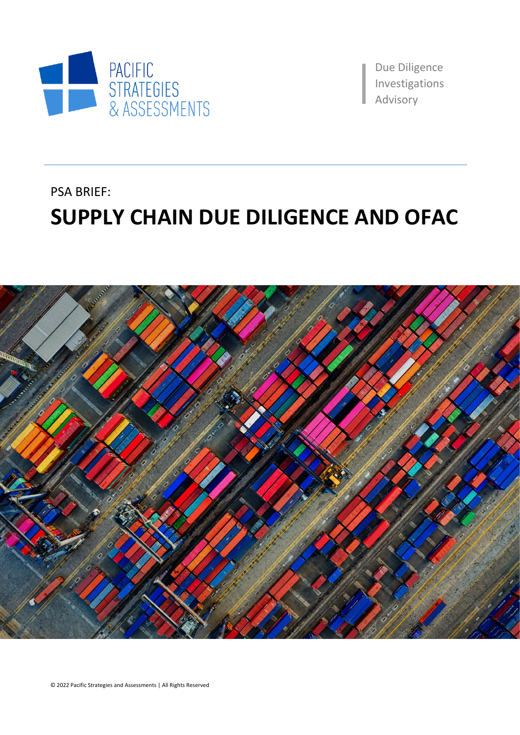

Due Diligence Investigations aAdvisory

# PSA BRIEF: **SUPPLY CHAIN DUE DILIGENCE AND OFAC**

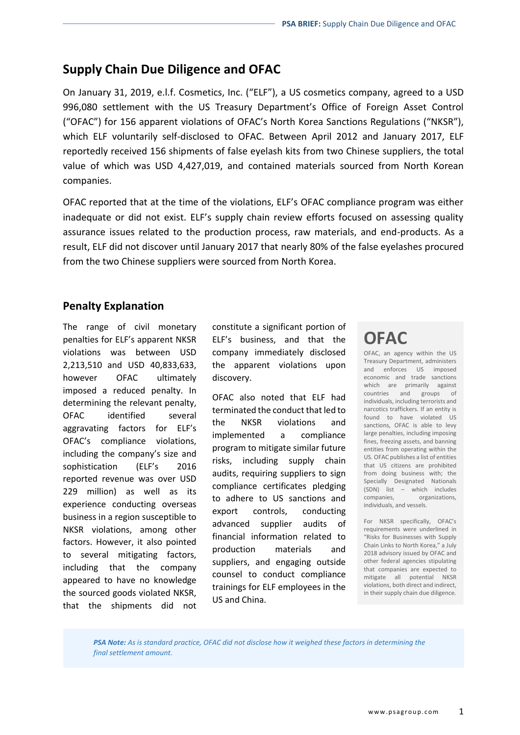### **Supply Chain Due Diligence and OFAC**

On January 31, 2019, e.l.f. Cosmetics, Inc. ("ELF"), a US cosmetics company, agreed to a USD 996,080 settlement with the US Treasury Department's Office of Foreign Asset Control ("OFAC") for 156 apparent violations of OFAC's North Korea Sanctions Regulations ("NKSR"), which ELF voluntarily self-disclosed to OFAC. Between April 2012 and January 2017, ELF reportedly received 156 shipments of false eyelash kits from two Chinese suppliers, the total value of which was USD 4,427,019, and contained materials sourced from North Korean companies.

OFAC reported that at the time of the violations, ELF's OFAC compliance program was either inadequate or did not exist. ELF's supply chain review efforts focused on assessing quality assurance issues related to the production process, raw materials, and end-products. As a result, ELF did not discover until January 2017 that nearly 80% of the false eyelashes procured from the two Chinese suppliers were sourced from North Korea.

#### **Penalty Explanation**

The range of civil monetary penalties for ELF's apparent NKSR violations was between USD 2,213,510 and USD 40,833,633, however OFAC ultimately imposed a reduced penalty. In determining the relevant penalty, OFAC identified several aggravating factors for ELF's OFAC's compliance violations, including the company's size and sophistication (ELF's 2016 reported revenue was over USD 229 million) as well as its experience conducting overseas business in a region susceptible to NKSR violations, among other factors. However, it also pointed to several mitigating factors, including that the company appeared to have no knowledge the sourced goods violated NKSR, that the shipments did not

constitute a significant portion of ELF's business, and that the company immediately disclosed the apparent violations upon discovery.

OFAC also noted that ELF had terminated the conduct that led to the NKSR violations and implemented a compliance program to mitigate similar future risks, including supply chain audits, requiring suppliers to sign compliance certificates pledging to adhere to US sanctions and export controls, conducting advanced supplier audits of financial information related to production materials and suppliers, and engaging outside counsel to conduct compliance trainings for ELF employees in the US and China.

## **OFAC**

OFAC, an agency within the US Treasury Department, administers and enforces US imposed economic and trade sanctions which are primarily against countries and groups of individuals, including terrorists and narcotics traffickers. If an entity is found to have violated US sanctions, OFAC is able to levy large penalties, including imposing fines, freezing assets, and banning entities from operating within the US. OFAC publishes a list of entities that US citizens are prohibited from doing business with; the Specially Designated Nationals (SDN) list – which includes companies, organizations, individuals, and vessels.

For NKSR specifically, OFAC's requirements were underlined in "Risks for Businesses with Supply Chain Links to North Korea," a July 2018 advisory issued by OFAC and other federal agencies stipulating that companies are expected to mitigate all potential NKSR violations, both direct and indirect, in their supply chain due diligence.

*PSA Note: As is standard practice, OFAC did not disclose how it weighed these factors in determining the final settlement amount.*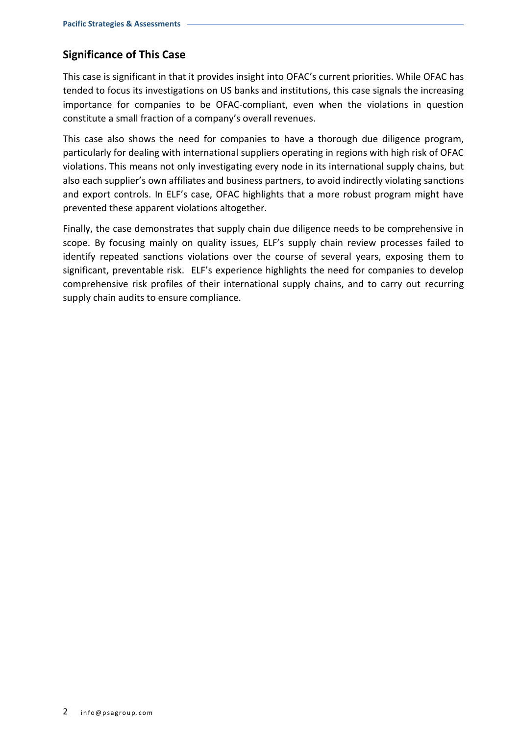### **Significance of This Case**

This case is significant in that it provides insight into OFAC's current priorities. While OFAC has tended to focus its investigations on US banks and institutions, this case signals the increasing importance for companies to be OFAC-compliant, even when the violations in question constitute a small fraction of a company's overall revenues.

This case also shows the need for companies to have a thorough due diligence program, particularly for dealing with international suppliers operating in regions with high risk of OFAC violations. This means not only investigating every node in its international supply chains, but also each supplier's own affiliates and business partners, to avoid indirectly violating sanctions and export controls. In ELF's case, OFAC highlights that a more robust program might have prevented these apparent violations altogether.

Finally, the case demonstrates that supply chain due diligence needs to be comprehensive in scope. By focusing mainly on quality issues, ELF's supply chain review processes failed to identify repeated sanctions violations over the course of several years, exposing them to significant, preventable risk. ELF's experience highlights the need for companies to develop comprehensive risk profiles of their international supply chains, and to carry out recurring supply chain audits to ensure compliance.